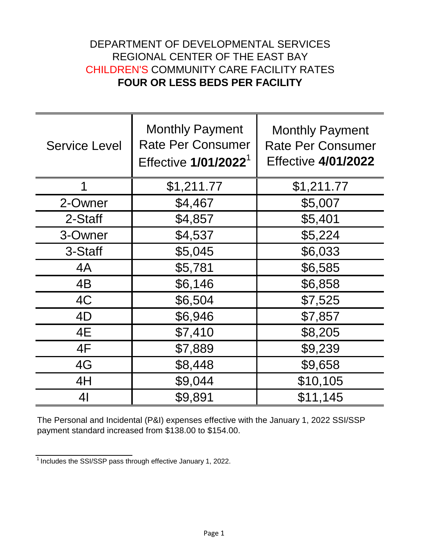## DEPARTMENT OF DEVELOPMENTAL SERVICES REGIONAL CENTER OF THE EAST BAY CHILDREN'S COMMUNITY CARE FACILITY RATES **FOUR OR LESS BEDS PER FACILITY**

| <b>Service Level</b> | <b>Monthly Payment</b><br><b>Rate Per Consumer</b><br>Effective 1/01/2022 <sup>1</sup> | <b>Monthly Payment</b><br><b>Rate Per Consumer</b><br><b>Effective 4/01/2022</b> |
|----------------------|----------------------------------------------------------------------------------------|----------------------------------------------------------------------------------|
| 1                    | \$1,211.77                                                                             | \$1,211.77                                                                       |
| 2-Owner              | \$4,467                                                                                | \$5,007                                                                          |
| 2-Staff              | \$4,857                                                                                | \$5,401                                                                          |
| 3-Owner              | \$4,537                                                                                | \$5,224                                                                          |
| 3-Staff              | \$5,045                                                                                | \$6,033                                                                          |
| 4A                   | \$5,781                                                                                | \$6,585                                                                          |
| 4B                   | \$6,146                                                                                | \$6,858                                                                          |
| 4C                   | \$6,504                                                                                | \$7,525                                                                          |
| 4D                   | \$6,946                                                                                | \$7,857                                                                          |
| 4E                   | \$7,410                                                                                | \$8,205                                                                          |
| 4F                   | \$7,889                                                                                | \$9,239                                                                          |
| 4G                   | \$8,448                                                                                | \$9,658                                                                          |
| 4H                   | \$9,044                                                                                | \$10,105                                                                         |
| 4 <sub>l</sub>       | \$9,891                                                                                | \$11,145                                                                         |

The Personal and Incidental (P&I) expenses effective with the January 1, 2022 SSI/SSP payment standard increased from \$138.00 to \$154.00.

 $\frac{1}{1}$  Includes the SSI/SSP pass through effective January 1, 2022.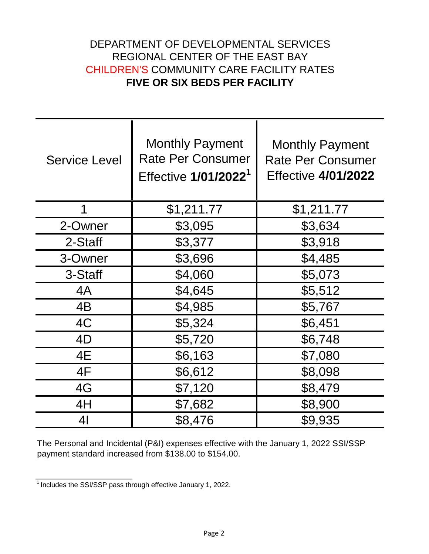## DEPARTMENT OF DEVELOPMENTAL SERVICES REGIONAL CENTER OF THE EAST BAY CHILDREN'S COMMUNITY CARE FACILITY RATES **FIVE OR SIX BEDS PER FACILITY**

| <b>Service Level</b> | <b>Monthly Payment</b><br><b>Rate Per Consumer</b><br>Effective 1/01/2022 <sup>1</sup> | <b>Monthly Payment</b><br><b>Rate Per Consumer</b><br><b>Effective 4/01/2022</b> |
|----------------------|----------------------------------------------------------------------------------------|----------------------------------------------------------------------------------|
| 1                    | \$1,211.77                                                                             | \$1,211.77                                                                       |
| 2-Owner              | \$3,095                                                                                | \$3,634                                                                          |
| 2-Staff              | \$3,377                                                                                | \$3,918                                                                          |
| 3-Owner              | \$3,696                                                                                | \$4,485                                                                          |
| 3-Staff              | \$4,060                                                                                | \$5,073                                                                          |
| 4A                   | \$4,645                                                                                | \$5,512                                                                          |
| 4B                   | \$4,985                                                                                | \$5,767                                                                          |
| 4C                   | \$5,324                                                                                | \$6,451                                                                          |
| 4D                   | \$5,720                                                                                | \$6,748                                                                          |
| 4E                   | \$6,163                                                                                | \$7,080                                                                          |
| 4F                   | \$6,612                                                                                | \$8,098                                                                          |
| 4G                   | \$7,120                                                                                | \$8,479                                                                          |
| 4H                   | \$7,682                                                                                | \$8,900                                                                          |
| 41                   | \$8,476                                                                                | \$9,935                                                                          |

The Personal and Incidental (P&I) expenses effective with the January 1, 2022 SSI/SSP payment standard increased from \$138.00 to \$154.00.

 $\frac{1}{1}$  Includes the SSI/SSP pass through effective January 1, 2022.